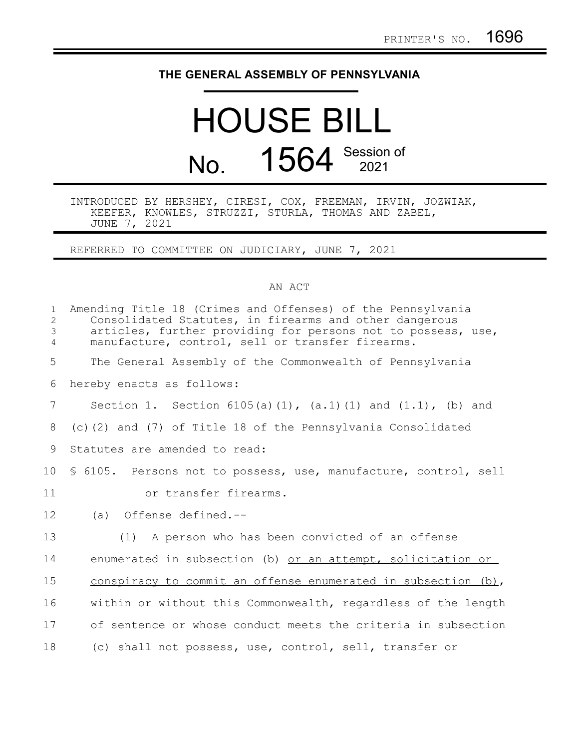## **THE GENERAL ASSEMBLY OF PENNSYLVANIA**

## HOUSE BILL No. 1564 Session of

## INTRODUCED BY HERSHEY, CIRESI, COX, FREEMAN, IRVIN, JOZWIAK, KEEFER, KNOWLES, STRUZZI, STURLA, THOMAS AND ZABEL, JUNE 7, 2021

REFERRED TO COMMITTEE ON JUDICIARY, JUNE 7, 2021

## AN ACT

| $\mathbf{1}$<br>$\overline{2}$<br>3<br>$\overline{4}$ | Amending Title 18 (Crimes and Offenses) of the Pennsylvania<br>Consolidated Statutes, in firearms and other dangerous<br>articles, further providing for persons not to possess, use,<br>manufacture, control, sell or transfer firearms. |
|-------------------------------------------------------|-------------------------------------------------------------------------------------------------------------------------------------------------------------------------------------------------------------------------------------------|
| 5                                                     | The General Assembly of the Commonwealth of Pennsylvania                                                                                                                                                                                  |
| 6                                                     | hereby enacts as follows:                                                                                                                                                                                                                 |
| $\overline{7}$                                        | Section 1. Section $6105(a)(1)$ , $(a.1)(1)$ and $(1.1)$ , $(b)$ and                                                                                                                                                                      |
| 8                                                     | (c)(2) and (7) of Title 18 of the Pennsylvania Consolidated                                                                                                                                                                               |
| 9                                                     | Statutes are amended to read:                                                                                                                                                                                                             |
| 10 <sub>o</sub>                                       | \$ 6105. Persons not to possess, use, manufacture, control, sell                                                                                                                                                                          |
| 11                                                    | or transfer firearms.                                                                                                                                                                                                                     |
| 12                                                    | Offense defined.--<br>(a)                                                                                                                                                                                                                 |
| 13                                                    | (1) A person who has been convicted of an offense                                                                                                                                                                                         |
| 14                                                    | enumerated in subsection (b) or an attempt, solicitation or                                                                                                                                                                               |
| 15                                                    | conspiracy to commit an offense enumerated in subsection (b),                                                                                                                                                                             |
| 16                                                    | within or without this Commonwealth, regardless of the length                                                                                                                                                                             |
| 17                                                    | of sentence or whose conduct meets the criteria in subsection                                                                                                                                                                             |
| 18                                                    | (c) shall not possess, use, control, sell, transfer or                                                                                                                                                                                    |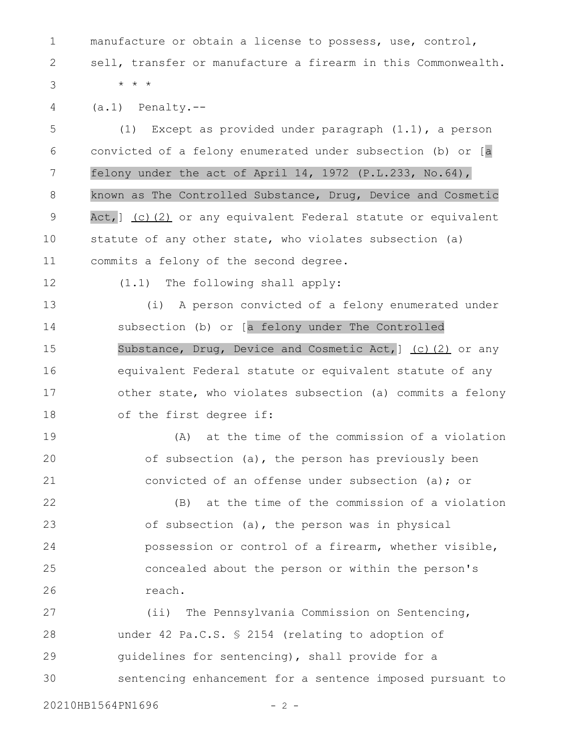manufacture or obtain a license to possess, use, control, sell, transfer or manufacture a firearm in this Commonwealth. \* \* \* 1 2 3

(a.1) Penalty.-- 4

(1) Except as provided under paragraph (1.1), a person convicted of a felony enumerated under subsection (b) or [a felony under the act of April 14, 1972 (P.L.233, No.64), known as The Controlled Substance, Drug, Device and Cosmetic Act, ] (c)(2) or any equivalent Federal statute or equivalent statute of any other state, who violates subsection (a) commits a felony of the second degree. 5 6 7 8 9 10 11

12

(1.1) The following shall apply:

(i) A person convicted of a felony enumerated under subsection (b) or [a felony under The Controlled Substance, Drug, Device and Cosmetic Act, 1 (c) (2) or any equivalent Federal statute or equivalent statute of any other state, who violates subsection (a) commits a felony of the first degree if: 13 14 15 16 17 18

(A) at the time of the commission of a violation of subsection (a), the person has previously been convicted of an offense under subsection (a); or 19 20 21

(B) at the time of the commission of a violation of subsection (a), the person was in physical possession or control of a firearm, whether visible, concealed about the person or within the person's reach. 22 23 24 25 26

(ii) The Pennsylvania Commission on Sentencing, under 42 Pa.C.S. § 2154 (relating to adoption of guidelines for sentencing), shall provide for a sentencing enhancement for a sentence imposed pursuant to 27 28 29 30

20210HB1564PN1696 - 2 -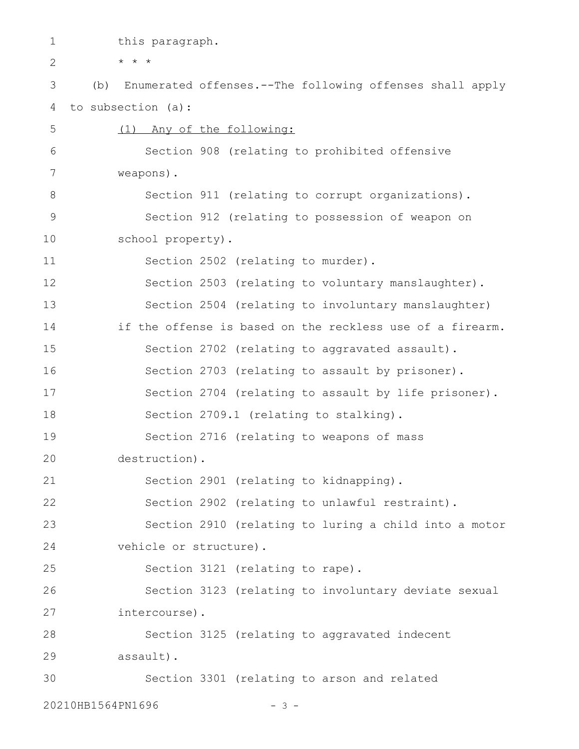this paragraph. \* \* \* (b) Enumerated offenses.--The following offenses shall apply to subsection (a): (1) Any of the following: Section 908 (relating to prohibited offensive weapons). Section 911 (relating to corrupt organizations). Section 912 (relating to possession of weapon on school property). Section 2502 (relating to murder). Section 2503 (relating to voluntary manslaughter). Section 2504 (relating to involuntary manslaughter) if the offense is based on the reckless use of a firearm. Section 2702 (relating to aggravated assault). Section 2703 (relating to assault by prisoner). Section 2704 (relating to assault by life prisoner). Section 2709.1 (relating to stalking). Section 2716 (relating to weapons of mass destruction). Section 2901 (relating to kidnapping). Section 2902 (relating to unlawful restraint). Section 2910 (relating to luring a child into a motor vehicle or structure). Section 3121 (relating to rape). Section 3123 (relating to involuntary deviate sexual intercourse). Section 3125 (relating to aggravated indecent assault). Section 3301 (relating to arson and related 1 2 3 4 5 6 7 8 9 10 11 12 13 14 15 16 17 18 19 20 21 22 23 24 25 26 27 28 29 30

20210HB1564PN1696 - 3 -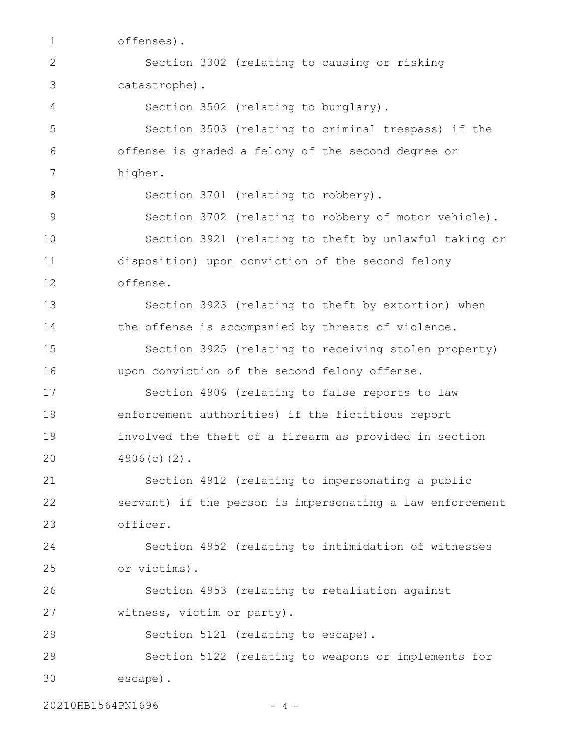offenses). Section 3302 (relating to causing or risking catastrophe). Section 3502 (relating to burglary). Section 3503 (relating to criminal trespass) if the offense is graded a felony of the second degree or higher. Section 3701 (relating to robbery). Section 3702 (relating to robbery of motor vehicle). Section 3921 (relating to theft by unlawful taking or disposition) upon conviction of the second felony offense. Section 3923 (relating to theft by extortion) when the offense is accompanied by threats of violence. Section 3925 (relating to receiving stolen property) upon conviction of the second felony offense. Section 4906 (relating to false reports to law enforcement authorities) if the fictitious report involved the theft of a firearm as provided in section 4906(c)(2). Section 4912 (relating to impersonating a public servant) if the person is impersonating a law enforcement officer. Section 4952 (relating to intimidation of witnesses or victims). Section 4953 (relating to retaliation against witness, victim or party). Section 5121 (relating to escape). Section 5122 (relating to weapons or implements for escape). 1 2 3 4 5 6 7 8 9 10 11 12 13 14 15 16 17 18 19 20 21 22 23 24 25 26 27 28 29 30

20210HB1564PN1696 - 4 -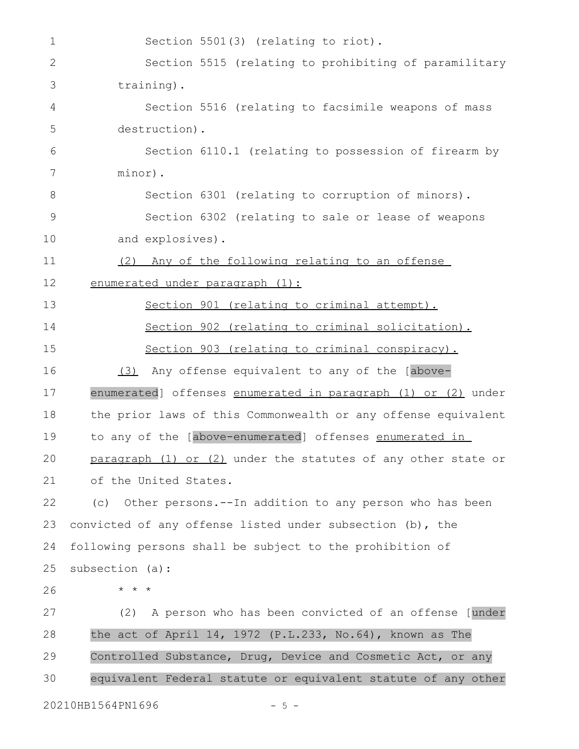Section 5501(3) (relating to riot). Section 5515 (relating to prohibiting of paramilitary training). Section 5516 (relating to facsimile weapons of mass destruction). Section 6110.1 (relating to possession of firearm by minor). Section 6301 (relating to corruption of minors). Section 6302 (relating to sale or lease of weapons and explosives). (2) Any of the following relating to an offense enumerated under paragraph (1): Section 901 (relating to criminal attempt). Section 902 (relating to criminal solicitation). Section 903 (relating to criminal conspiracy). (3) Any offense equivalent to any of the [aboveenumerated] offenses enumerated in paragraph (1) or (2) under the prior laws of this Commonwealth or any offense equivalent to any of the [above-enumerated] offenses enumerated in paragraph (1) or (2) under the statutes of any other state or of the United States. (c) Other persons.--In addition to any person who has been convicted of any offense listed under subsection (b), the following persons shall be subject to the prohibition of subsection (a): \* \* \* (2) A person who has been convicted of an offense [under the act of April 14, 1972 (P.L.233, No.64), known as The Controlled Substance, Drug, Device and Cosmetic Act, or any equivalent Federal statute or equivalent statute of any other 20210HB1564PN1696 - 5 -1 2 3 4 5 6 7 8 9 10 11 12 13 14 15 16 17 18 19 20 21 22 23 24 25 26 27 28 29 30